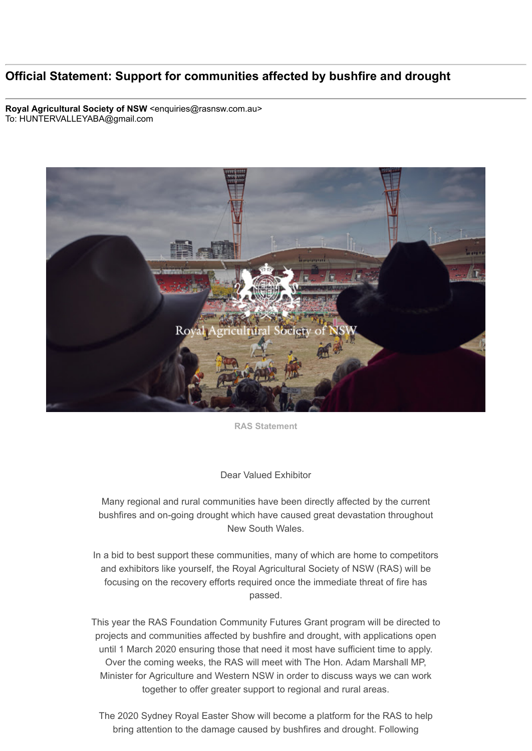## **Official Statement: Support for communities affected by bushfire and drought**

**Royal Agricultural Society of NSW** <enquiries@rasnsw.com.au> To: HUNTERVALLEYABA@gmail.com



**RAS Statement**

## Dear Valued Exhibitor

Many regional and rural communities have been directly affected by the current bushfires and on-going drought which have caused great devastation throughout New South Wales.

In a bid to best support these communities, many of which are home to competitors and exhibitors like yourself, the Royal Agricultural Society of NSW (RAS) will be focusing on the recovery efforts required once the immediate threat of fire has passed.

This year the RAS Foundation Community Futures Grant program will be directed to projects and communities affected by bushfire and drought, with applications open until 1 March 2020 ensuring those that need it most have sufficient time to apply. Over the coming weeks, the RAS will meet with The Hon. Adam Marshall MP, Minister for Agriculture and Western NSW in order to discuss ways we can work together to offer greater support to regional and rural areas.

The 2020 Sydney Royal Easter Show will become a platform for the RAS to help bring attention to the damage caused by bushfires and drought. Following